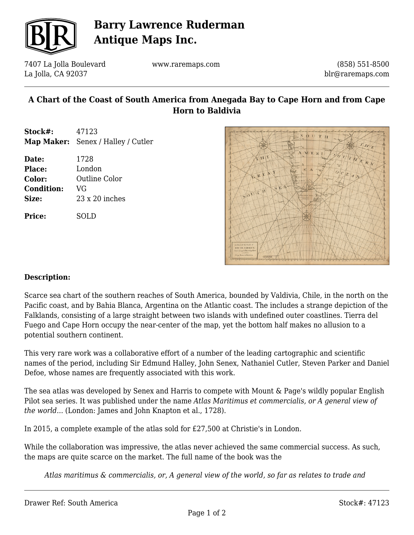

# **Barry Lawrence Ruderman Antique Maps Inc.**

7407 La Jolla Boulevard La Jolla, CA 92037

www.raremaps.com

(858) 551-8500 blr@raremaps.com

### **A Chart of the Coast of South America from Anegada Bay to Cape Horn and from Cape Horn to Baldivia**

**Stock#:** 47123 **Map Maker:** Senex / Halley / Cutler

**Date:** 1728 **Place:** London **Color:** Outline Color **Condition:** VG **Size:** 23 x 20 inches

**Price:** SOLD



#### **Description:**

Scarce sea chart of the southern reaches of South America, bounded by Valdivia, Chile, in the north on the Pacific coast, and by Bahia Blanca, Argentina on the Atlantic coast. The includes a strange depiction of the Falklands, consisting of a large straight between two islands with undefined outer coastlines. Tierra del Fuego and Cape Horn occupy the near-center of the map, yet the bottom half makes no allusion to a potential southern continent.

This very rare work was a collaborative effort of a number of the leading cartographic and scientific names of the period, including Sir Edmund Halley, John Senex, Nathaniel Cutler, Steven Parker and Daniel Defoe, whose names are frequently associated with this work.

The sea atlas was developed by Senex and Harris to compete with Mount & Page's wildly popular English Pilot sea series. It was published under the name *Atlas Maritimus et commercialis, or A general view of the world...* (London: James and John Knapton et al., 1728).

In 2015, a complete example of the atlas sold for £27,500 at Christie's in London.

While the collaboration was impressive, the atlas never achieved the same commercial success. As such, the maps are quite scarce on the market. The full name of the book was the

*Atlas maritimus & commercialis, or, A general view of the world, so far as relates to trade and*